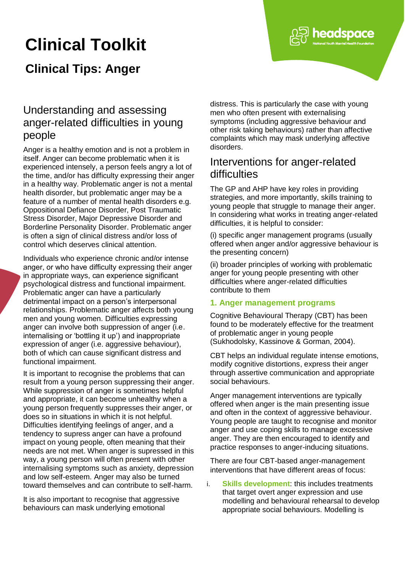# **Clinical Toolkit**

# **Clinical Tips: Anger**



headspace

## Interventions for anger-related difficulties

The GP and AHP have key roles in providing strategies, and more importantly, skills training to young people that struggle to manage their anger. In considering what works in treating anger-related difficulties, it is helpful to consider:

(i) specific anger management programs (usually offered when anger and/or aggressive behaviour is the presenting concern)

(ii) broader principles of working with problematic anger for young people presenting with other difficulties where anger-related difficulties contribute to them

#### **1. Anger management programs**

Cognitive Behavioural Therapy (CBT) has been found to be moderately effective for the treatment of problematic anger in young people (Sukhodolsky, Kassinove & Gorman, 2004).

CBT helps an individual regulate intense emotions, modify cognitive distortions, express their anger through assertive communication and appropriate social behaviours.

Anger management interventions are typically offered when anger is the main presenting issue and often in the context of aggressive behaviour. Young people are taught to recognise and monitor anger and use coping skills to manage excessive anger. They are then encouraged to identify and practice responses to anger-inducing situations.

There are four CBT-based anger-management interventions that have different areas of focus:

i. **Skills development**: this includes treatments that target overt anger expression and use modelling and behavioural rehearsal to develop appropriate social behaviours. Modelling is

# Understanding and assessing anger-related difficulties in young people

Anger is a healthy emotion and is not a problem in itself. Anger can become problematic when it is experienced intensely, a person feels angry a lot of the time, and/or has difficulty expressing their anger in a healthy way. Problematic anger is not a mental health disorder, but problematic anger may be a feature of a number of mental health disorders e.g. Oppositional Defiance Disorder, Post Traumatic Stress Disorder, Major Depressive Disorder and Borderline Personality Disorder. Problematic anger is often a sign of clinical distress and/or loss of control which deserves clinical attention.

Individuals who experience chronic and/or intense anger, or who have difficulty expressing their anger in appropriate ways, can experience significant psychological distress and functional impairment. Problematic anger can have a particularly detrimental impact on a person's interpersonal relationships. Problematic anger affects both young men and young women. Difficulties expressing anger can involve both suppression of anger (i.e. internalising or 'bottling it up') and inappropriate expression of anger (i.e. aggressive behaviour), both of which can cause significant distress and functional impairment.

It is important to recognise the problems that can result from a young person suppressing their anger. While suppression of anger is sometimes helpful and appropriate, it can become unhealthy when a young person frequently suppresses their anger, or does so in situations in which it is not helpful. Difficulties identifying feelings of anger, and a tendency to supress anger can have a profound impact on young people, often meaning that their needs are not met. When anger is supressed in this way, a young person will often present with other internalising symptoms such as anxiety, depression and low self-esteem. Anger may also be turned toward themselves and can contribute to self-harm.

It is also important to recognise that aggressive behaviours can mask underlying emotional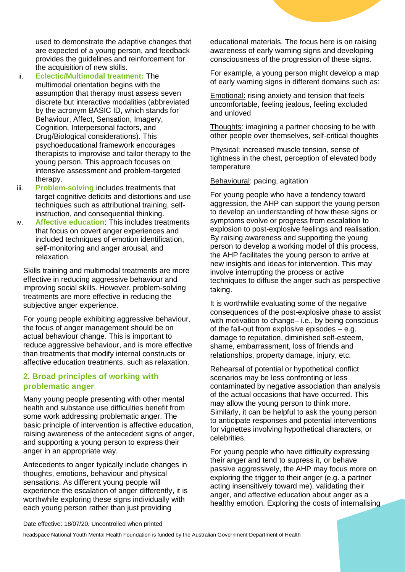used to demonstrate the adaptive changes that are expected of a young person, and feedback provides the guidelines and reinforcement for the acquisition of new skills.

- ii. **Eclectic/Multimodal treatment:** The multimodal orientation begins with the assumption that therapy must assess seven discrete but interactive modalities (abbreviated by the acronym BASIC ID, which stands for Behaviour, Affect, Sensation, Imagery, Cognition, Interpersonal factors, and Drug/Biological considerations). This psychoeducational framework encourages therapists to improvise and tailor therapy to the young person. This approach focuses on intensive assessment and problem-targeted therapy.
- iii. **Problem-solving** includes treatments that target cognitive deficits and distortions and use techniques such as attributional training, selfinstruction, and consequential thinking.
- iv. **Affective education**: This includes treatments that focus on covert anger experiences and included techniques of emotion identification, self-monitoring and anger arousal, and relaxation.

Skills training and multimodal treatments are more effective in reducing aggressive behaviour and improving social skills. However, problem-solving treatments are more effective in reducing the subjective anger experience.

For young people exhibiting aggressive behaviour, the focus of anger management should be on actual behaviour change. This is important to reduce aggressive behaviour, and is more effective than treatments that modify internal constructs or affective education treatments, such as relaxation.

#### **2. Broad principles of working with problematic anger**

Many young people presenting with other mental health and substance use difficulties benefit from some work addressing problematic anger. The basic principle of intervention is affective education, raising awareness of the antecedent signs of anger, and supporting a young person to express their anger in an appropriate way.

Antecedents to anger typically include changes in thoughts, emotions, behaviour and physical sensations. As different young people will experience the escalation of anger differently, it is worthwhile exploring these signs individually with each young person rather than just providing

educational materials. The focus here is on raising awareness of early warning signs and developing consciousness of the progression of these signs.

For example, a young person might develop a map of early warning signs in different domains such as:

Emotional: rising anxiety and tension that feels uncomfortable, feeling jealous, feeling excluded and unloved

Thoughts: imagining a partner choosing to be with other people over themselves, self-critical thoughts

Physical: increased muscle tension, sense of tightness in the chest, perception of elevated body temperature

Behavioural: pacing, agitation

For young people who have a tendency toward aggression, the AHP can support the young person to develop an understanding of how these signs or symptoms evolve or progress from escalation to explosion to post-explosive feelings and realisation. By raising awareness and supporting the young person to develop a working model of this process, the AHP facilitates the young person to arrive at new insights and ideas for intervention. This may involve interrupting the process or active techniques to diffuse the anger such as perspective taking.

It is worthwhile evaluating some of the negative consequences of the post-explosive phase to assist with motivation to change– i.e., by being conscious of the fall-out from explosive episodes – e.g. damage to reputation, diminished self-esteem, shame, embarrassment, loss of friends and relationships, property damage, injury, etc.

Rehearsal of potential or hypothetical conflict scenarios may be less confronting or less contaminated by negative association than analysis of the actual occasions that have occurred. This may allow the young person to think more. Similarly, it can be helpful to ask the young person to anticipate responses and potential interventions for vignettes involving hypothetical characters, or celebrities.

For young people who have difficulty expressing their anger and tend to supress it, or behave passive aggressively, the AHP may focus more on exploring the trigger to their anger (e.g. a partner acting insensitively toward me), validating their anger, and affective education about anger as a healthy emotion. Exploring the costs of internalising

Date effective: 18/07/20. Uncontrolled when printed

headspace National Youth Mental Health Foundation is funded by the Australian Government Department of Health